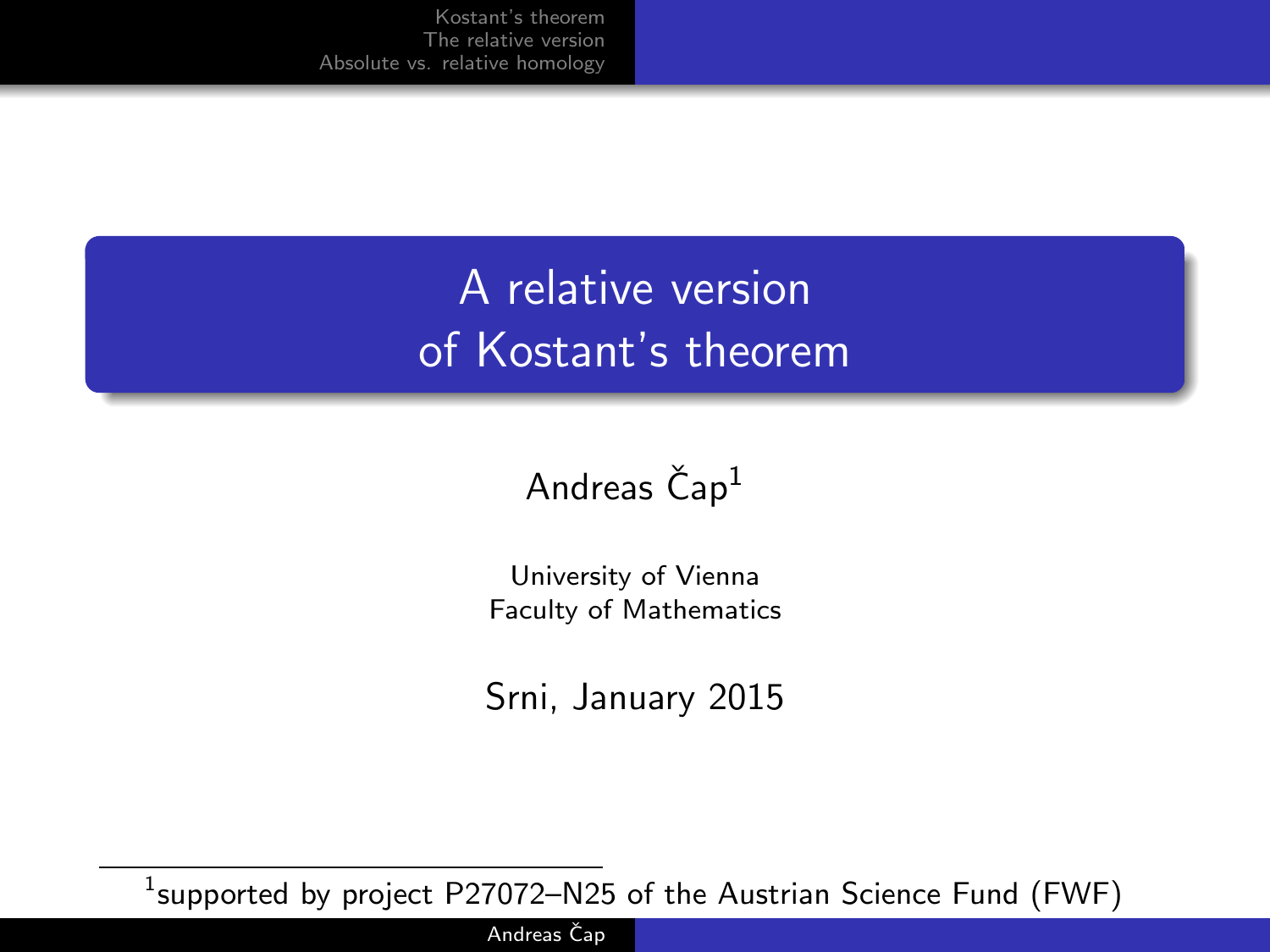# A relative version of Kostant's theorem

### Andreas  $\text{Čap}^1$

University of Vienna Faculty of Mathematics

Srni, January 2015

 $^1$ supported by project <code>P27072–N25</code> of the Austrian Science Fund (FWF)

Andreas Čap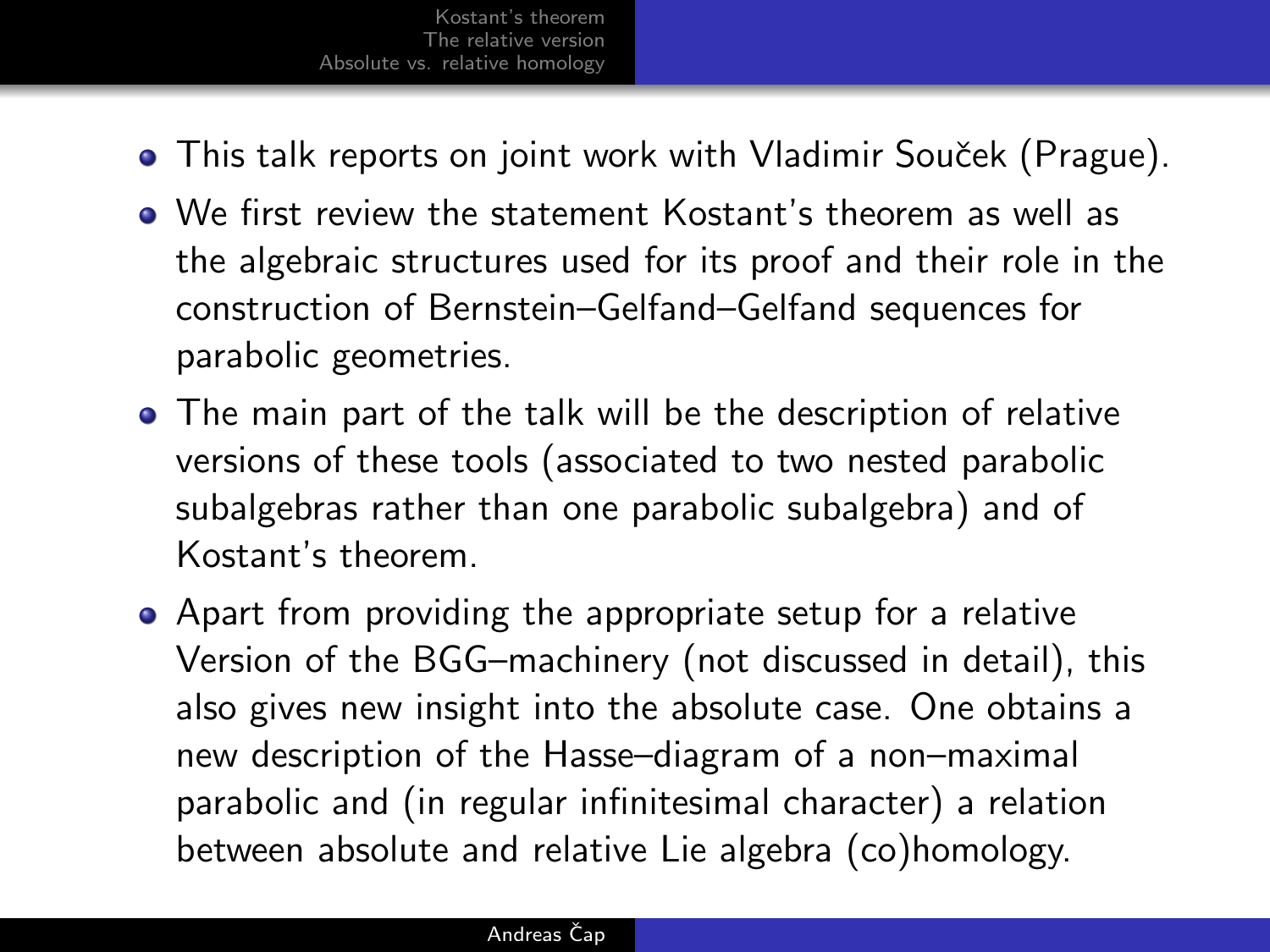- This talk reports on joint work with Vladimir Souček (Prague).
- We first review the statement Kostant's theorem as well as the algebraic structures used for its proof and their role in the construction of Bernstein–Gelfand–Gelfand sequences for parabolic geometries.
- The main part of the talk will be the description of relative versions of these tools (associated to two nested parabolic subalgebras rather than one parabolic subalgebra) and of Kostant's theorem.
- Apart from providing the appropriate setup for a relative Version of the BGG–machinery (not discussed in detail), this also gives new insight into the absolute case. One obtains a new description of the Hasse–diagram of a non–maximal parabolic and (in regular infinitesimal character) a relation between absolute and relative Lie algebra (co)homology.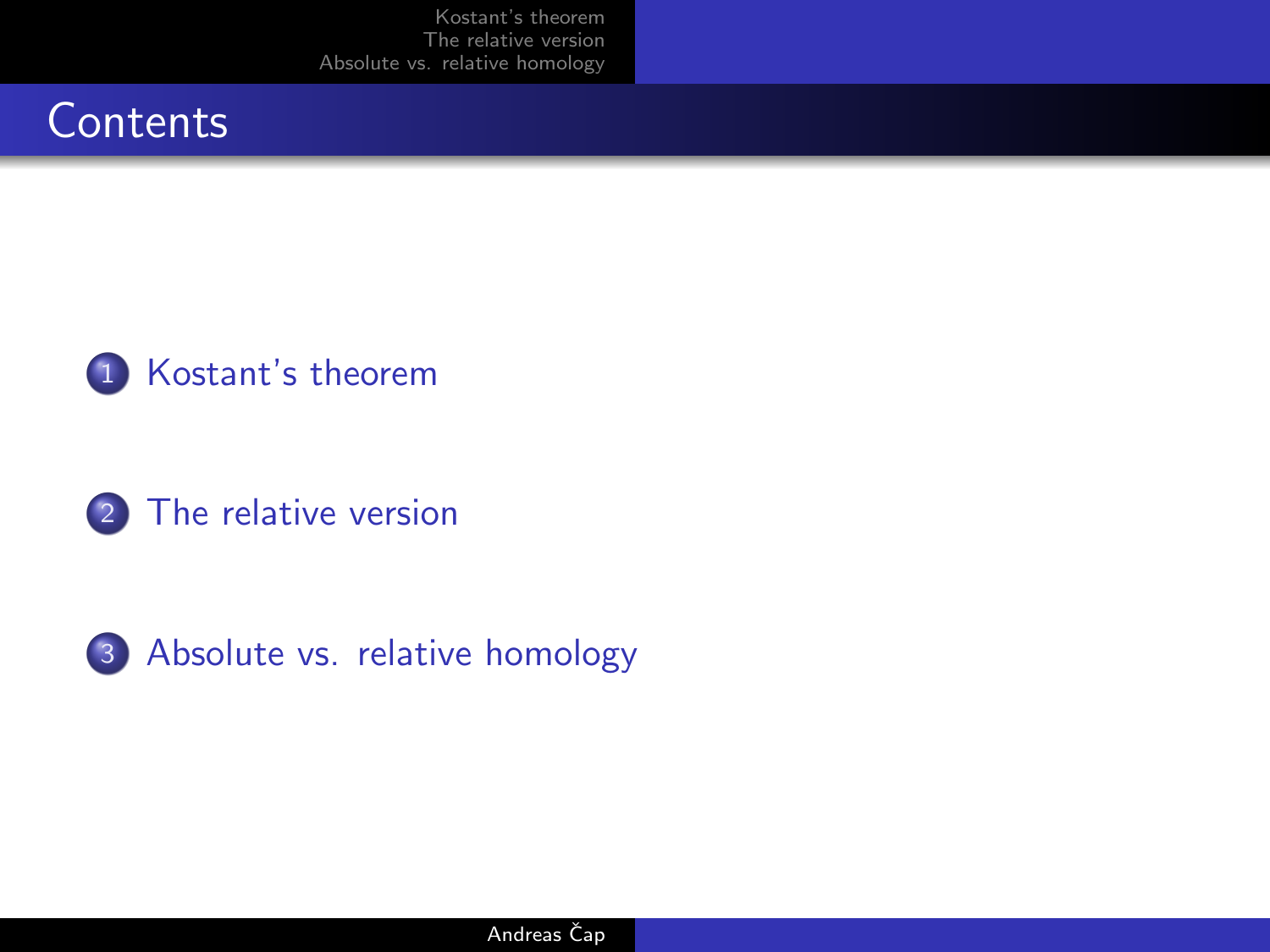







3 [Absolute vs. relative homology](#page-13-0)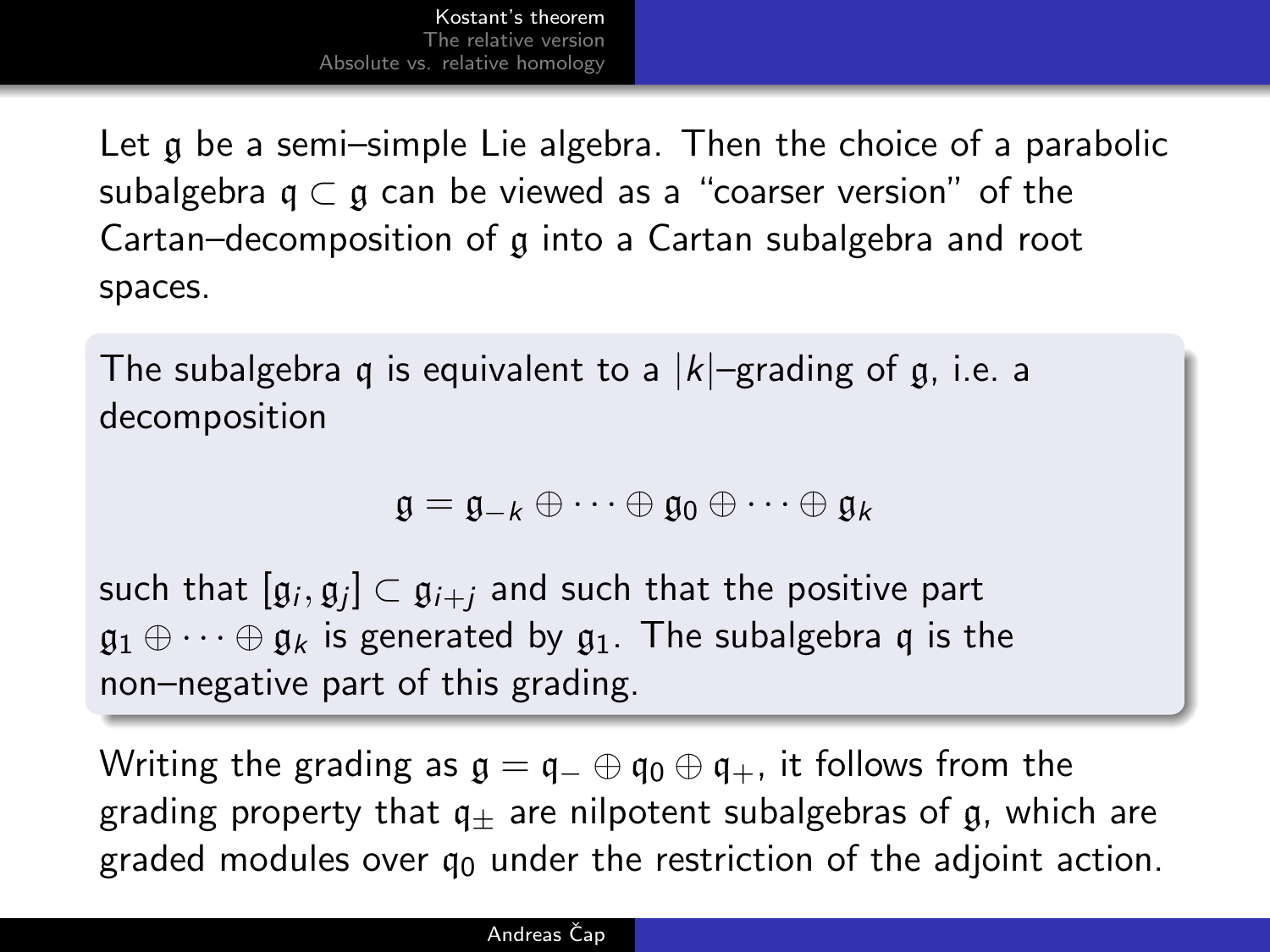Let g be a semi-simple Lie algebra. Then the choice of a parabolic subalgebra  $q \subset q$  can be viewed as a "coarser version" of the Cartan–decomposition of g into a Cartan subalgebra and root spaces.

The subalgebra q is equivalent to a  $|k|$ –grading of q, i.e. a decomposition

<span id="page-3-0"></span>
$$
\mathfrak{g}=\mathfrak{g}_{-k}\oplus\cdots\oplus\mathfrak{g}_0\oplus\cdots\oplus\mathfrak{g}_k
$$

such that  $[\mathfrak{g}_i, \mathfrak{g}_j] \subset \mathfrak{g}_{i+j}$  and such that the positive part  $\mathfrak{g}_1 \oplus \cdots \oplus \mathfrak{g}_k$  is generated by  $\mathfrak{g}_1$ . The subalgebra q is the non–negative part of this grading.

Writing the grading as  $\mathfrak{g} = \mathfrak{g} = \oplus \mathfrak{q}_0 \oplus \mathfrak{g}_+$ , it follows from the grading property that  $q_{+}$  are nilpotent subalgebras of g, which are graded modules over  $q_0$  under the restriction of the adjoint action.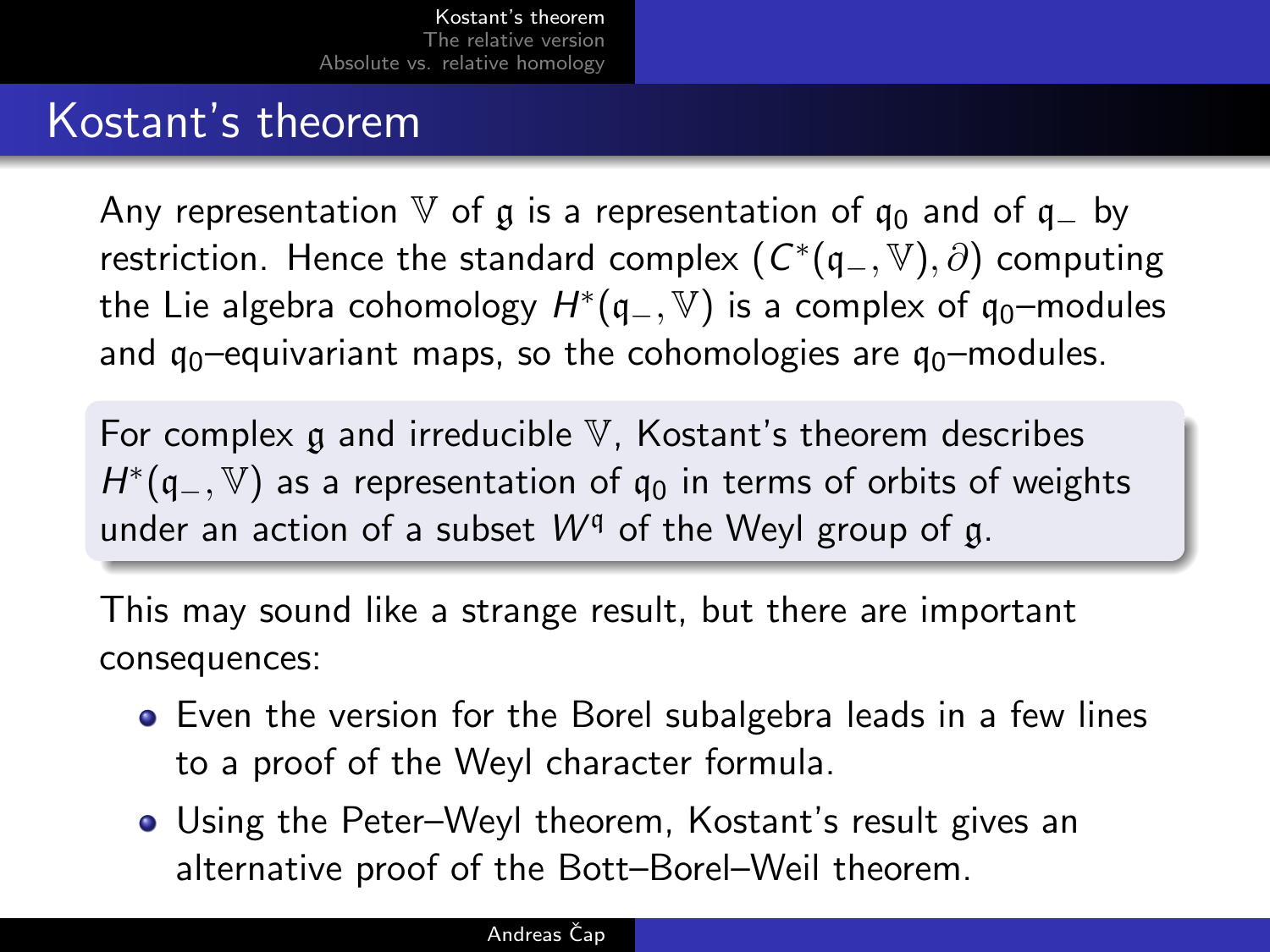## Kostant's theorem

Any representation V of g is a representation of  $q_0$  and of  $q_-\,$  by restriction. Hence the standard complex  $(\,C^*(\mathfrak{q}_-,\mathbb{V}),\partial)\,$  computing the Lie algebra cohomology  $H^{*}(\mathfrak{q}_-,\mathbb{V})$  is a complex of  $\mathfrak{q}_0$ –modules and  $q_0$ –equivariant maps, so the cohomologies are  $q_0$ –modules.

For complex  $\alpha$  and irreducible V, Kostant's theorem describes  $H^{*}(\mathfrak{q}_{-},\mathbb{V})$  as a representation of  $\mathfrak{q}_{0}$  in terms of orbits of weights under an action of a subset  $W^{q}$  of the Weyl group of g.

This may sound like a strange result, but there are important consequences:

- Even the version for the Borel subalgebra leads in a few lines to a proof of the Weyl character formula.
- Using the Peter–Weyl theorem, Kostant's result gives an alternative proof of the Bott–Borel–Weil theorem.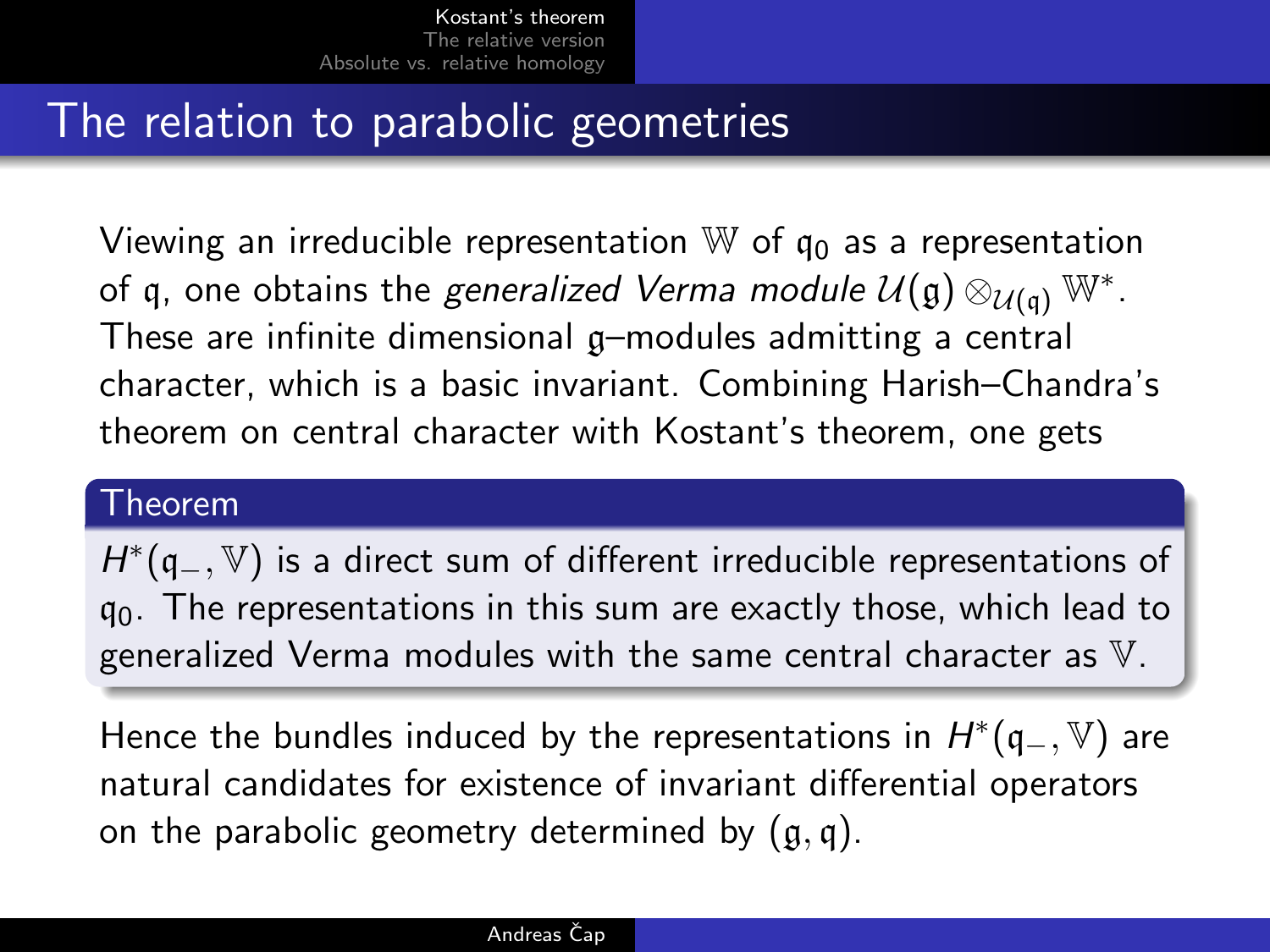## The relation to parabolic geometries

Viewing an irreducible representation  $\mathbb W$  of  $\mathfrak q_0$  as a representation of q, one obtains the *generalized Verma module U*( $\mathfrak{g}$ )  $\otimes_{\mathcal{U}(\mathfrak{q})} \mathbb{W}^*$ . These are infinite dimensional g–modules admitting a central character, which is a basic invariant. Combining Harish–Chandra's theorem on central character with Kostant's theorem, one gets

#### Theorem

 $H^*(\mathfrak{q}_-,\mathbb{V})$  is a direct sum of different irreducible representations of  $q_0$ . The representations in this sum are exactly those, which lead to generalized Verma modules with the same central character as V.

Hence the bundles induced by the representations in  $H^*(\mathfrak{q}_-,\mathbb{V})$  are natural candidates for existence of invariant differential operators on the parabolic geometry determined by  $(a, q)$ .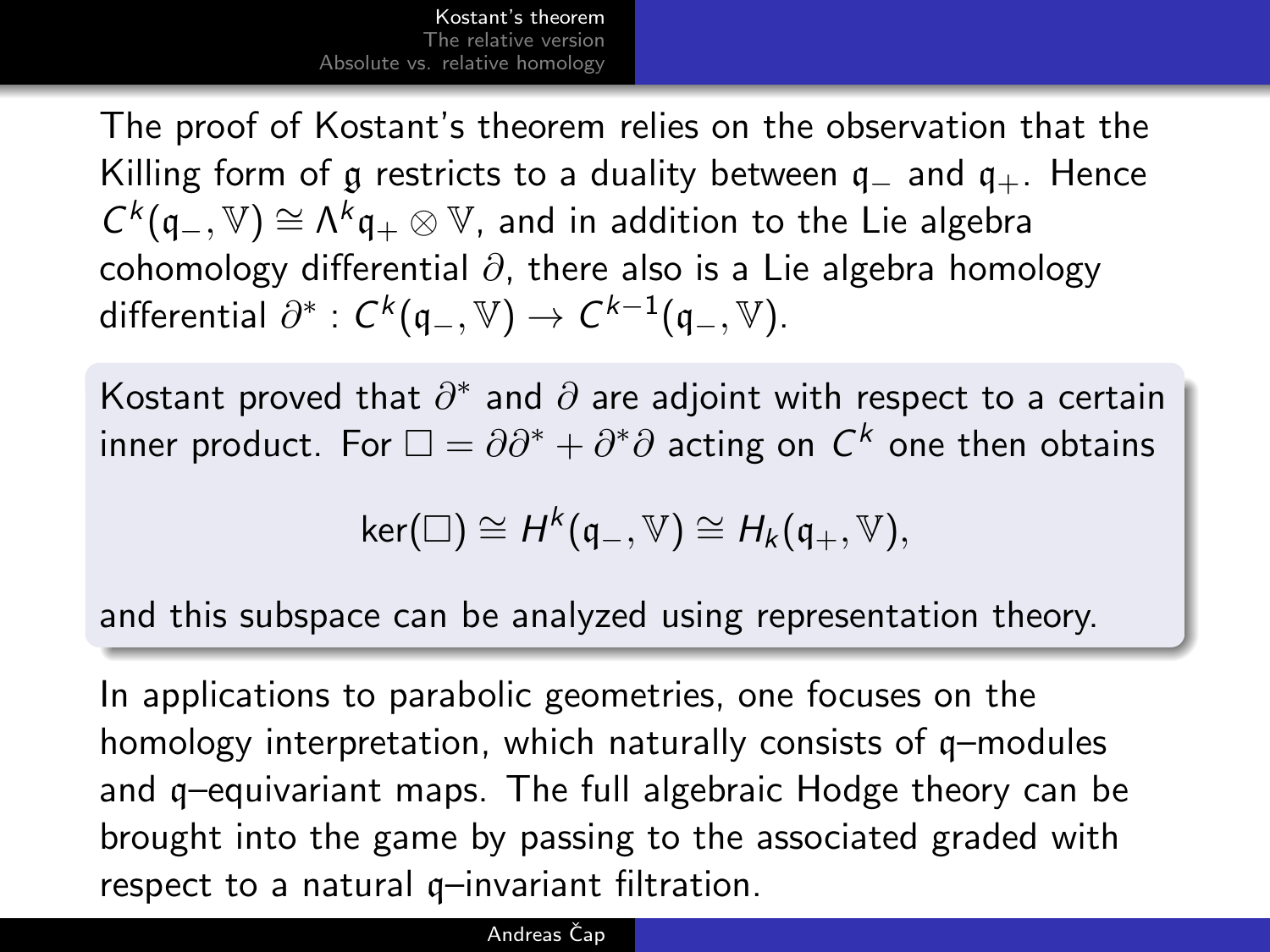The proof of Kostant's theorem relies on the observation that the Killing form of g restricts to a duality between  $q_-\$  and  $q_+$ . Hence  $C^k(\mathfrak{q}_-,\mathbb{V})\cong \Lambda^k\mathfrak{q}_+\otimes\mathbb{V}$ , and in addition to the Lie algebra cohomology differential  $\partial$ , there also is a Lie algebra homology differential  $\partial^*: C^k(\mathfrak{q}_-,\mathbb{V})\to C^{k-1}(\mathfrak{q}_-,\mathbb{V}).$ 

Kostant proved that  $\partial^*$  and  $\partial$  are adjoint with respect to a certain inner product. For  $\square=\partial\partial^*+\partial^*\partial$  acting on  $\mathsf{C}^k$  one then obtains

$$
\text{ker}(\square) \cong H^k(\mathfrak{q}_-,\mathbb{V}) \cong H_k(\mathfrak{q}_+,\mathbb{V}),
$$

and this subspace can be analyzed using representation theory.

In applications to parabolic geometries, one focuses on the homology interpretation, which naturally consists of q–modules and q–equivariant maps. The full algebraic Hodge theory can be brought into the game by passing to the associated graded with respect to a natural q–invariant filtration.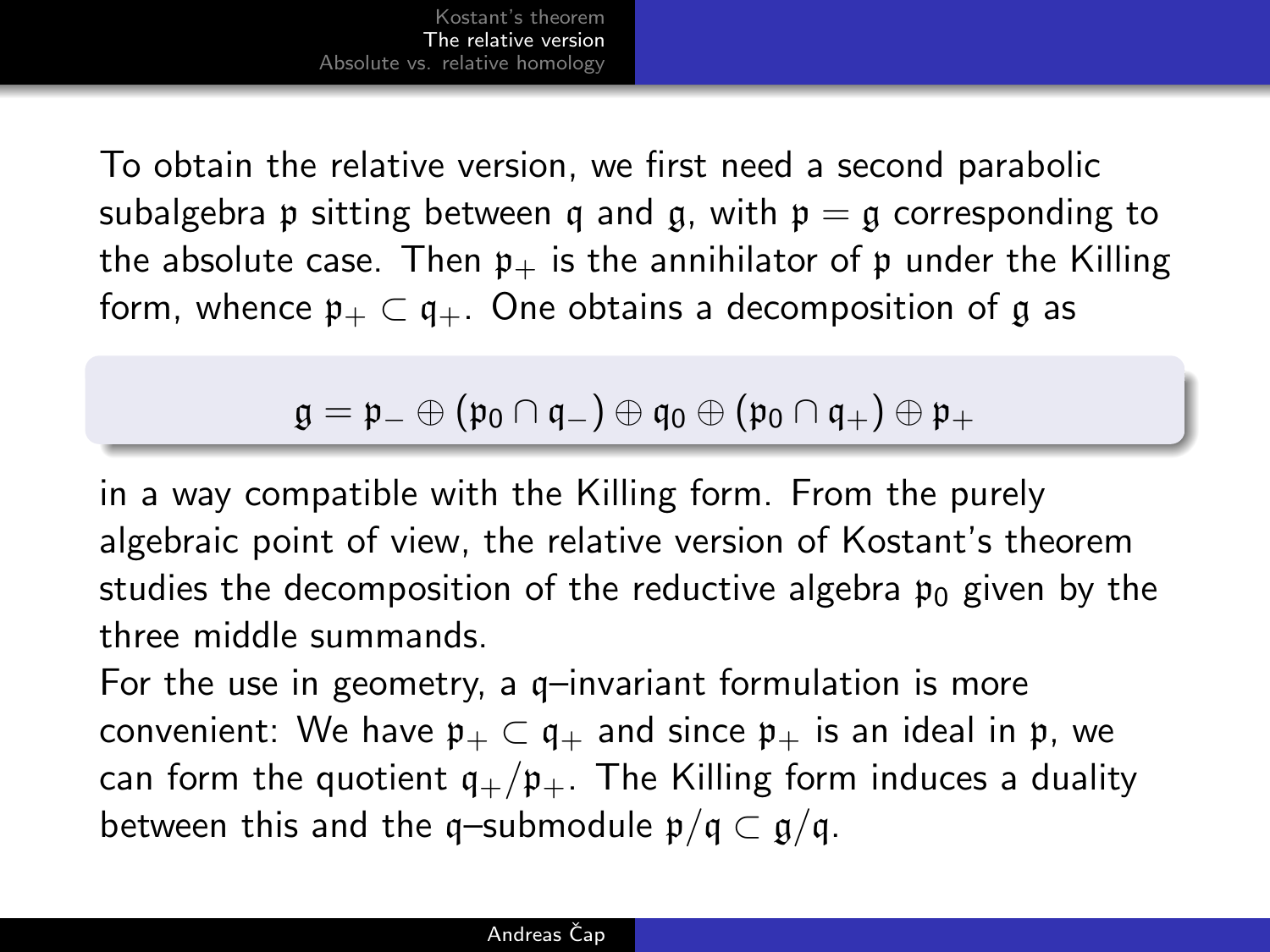To obtain the relative version, we first need a second parabolic subalgebra p sitting between q and g, with  $p = g$  corresponding to the absolute case. Then  $p_{+}$  is the annihilator of p under the Killing form, whence  $\mathfrak{p}_+ \subset \mathfrak{q}_+$ . One obtains a decomposition of g as

### <span id="page-7-0"></span> $\mathfrak{g} = \mathfrak{p}_- \oplus (\mathfrak{p}_0 \cap \mathfrak{q}_-) \oplus \mathfrak{q}_0 \oplus (\mathfrak{p}_0 \cap \mathfrak{q}_+) \oplus \mathfrak{p}_+$

in a way compatible with the Killing form. From the purely algebraic point of view, the relative version of Kostant's theorem studies the decomposition of the reductive algebra  $p_0$  given by the three middle summands.

For the use in geometry, a q–invariant formulation is more convenient: We have  $\mathfrak{p}_+ \subset \mathfrak{q}_+$  and since  $\mathfrak{p}_+$  is an ideal in  $\mathfrak{p}$ , we can form the quotient  $q_{+}/p_{+}$ . The Killing form induces a duality between this and the q–submodule  $p/q \subset g/q$ .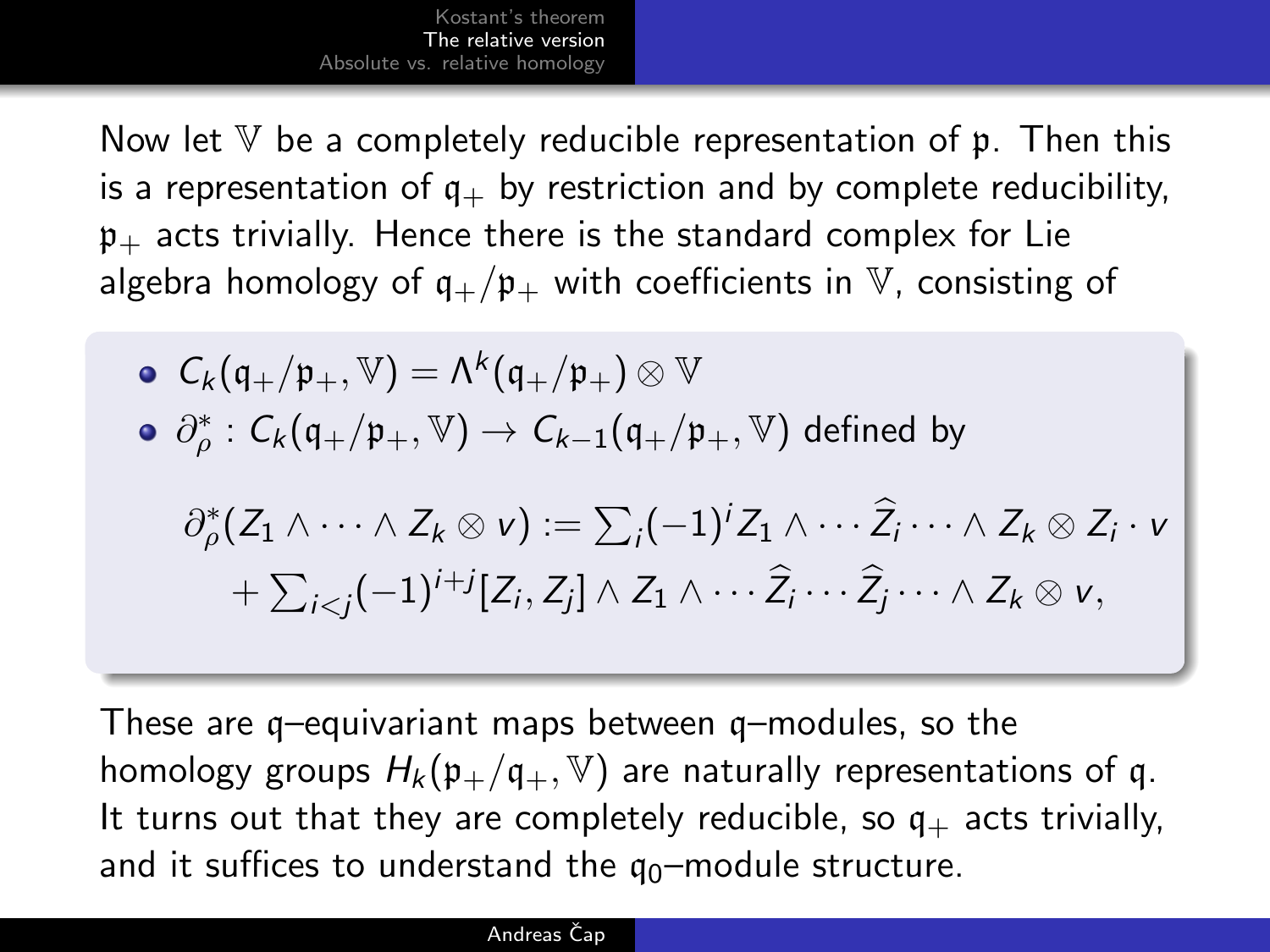Now let  $V$  be a completely reducible representation of  $\mathfrak p$ . Then this is a representation of  $q_+$  by restriction and by complete reducibility,  $\mathfrak{p}_+$  acts trivially. Hence there is the standard complex for Lie algebra homology of  $q_{+}/p_{+}$  with coefficients in V, consisting of

\n- \n
$$
C_k(\mathfrak{q}_+/p_+, \mathbb{V}) = \Lambda^k(\mathfrak{q}_+/p_+) \otimes \mathbb{V}
$$
\n
\n- \n
$$
\partial_p^* : C_k(\mathfrak{q}_+/p_+, \mathbb{V}) \to C_{k-1}(\mathfrak{q}_+/p_+, \mathbb{V}) \text{ defined by}
$$
\n
\n- \n
$$
\partial_p^*(Z_1 \wedge \cdots \wedge Z_k \otimes \mathbf{v}) := \sum_i (-1)^i Z_1 \wedge \cdots \widehat{Z_i} \cdots \wedge Z_k \otimes Z_i \cdot \mathbf{v}
$$
\n
\n- \n
$$
+ \sum_{i < j} (-1)^{i+j} [Z_i, Z_j] \wedge Z_1 \wedge \cdots \widehat{Z_i} \cdots \widehat{Z_j} \cdots \wedge Z_k \otimes \mathbf{v},
$$
\n
\n

These are q–equivariant maps between q–modules, so the homology groups  $H_k(\mathfrak{p}_+/q_+, \mathbb{V})$  are naturally representations of q. It turns out that they are completely reducible, so  $q_{+}$  acts trivially, and it suffices to understand the  $q_0$ -module structure.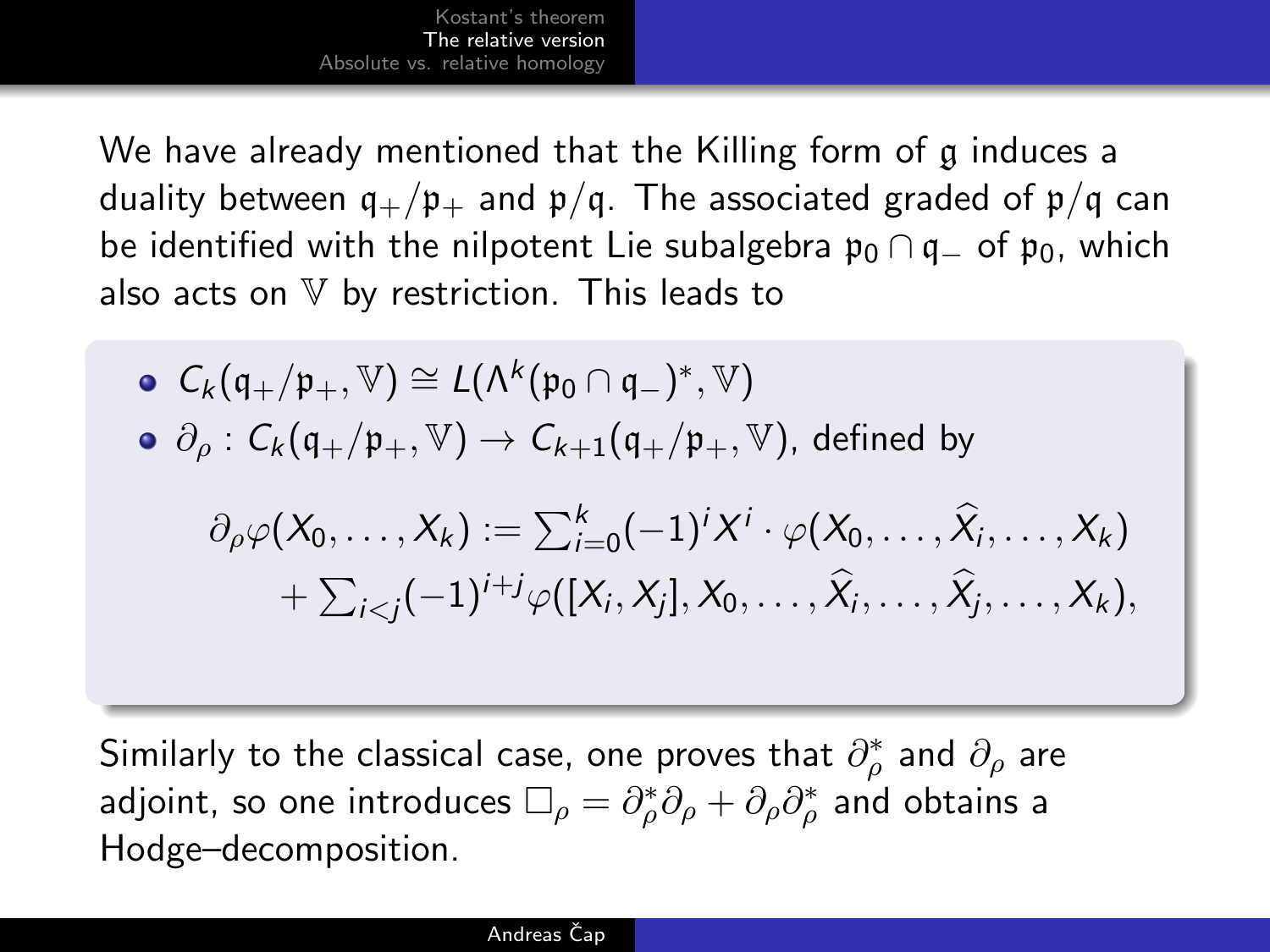We have already mentioned that the Killing form of g induces a duality between  $q_+/p_+$  and  $p/q$ . The associated graded of  $p/q$  can be identified with the nilpotent Lie subalgebra  $\mathfrak{p}_0 \cap \mathfrak{q}_-$  of  $\mathfrak{p}_0$ , which also acts on  $V$  by restriction. This leads to

\n- \n
$$
\mathcal{C}_k(\mathfrak{q}_+/ \mathfrak{p}_+, \mathbb{V}) \cong L(\Lambda^k(\mathfrak{p}_0 \cap \mathfrak{q}_-)^*, \mathbb{V})
$$
\n
\n- \n $\partial_\rho : C_k(\mathfrak{q}_+/ \mathfrak{p}_+, \mathbb{V}) \to C_{k+1}(\mathfrak{q}_+/ \mathfrak{p}_+, \mathbb{V})$ , defined by\n  $\partial_\rho \varphi(X_0, \ldots, X_k) := \sum_{i=0}^k (-1)^i X^i \cdot \varphi(X_0, \ldots, \widehat{X}_i, \ldots, X_k)$ \n $+ \sum_{i < j} (-1)^{i+j} \varphi([X_i, X_j], X_0, \ldots, \widehat{X}_i, \ldots, \widehat{X}_j, \ldots, X_k),$ \n
\n

Similarly to the classical case, one proves that  $\partial^*_\rho$  and  $\partial_\rho$  are adjoint, so one introduces  $\Box_\rho=\partial_\rho^*\partial_\rho+\partial_\rho\partial_\rho^*$  and obtains a Hodge–decomposition.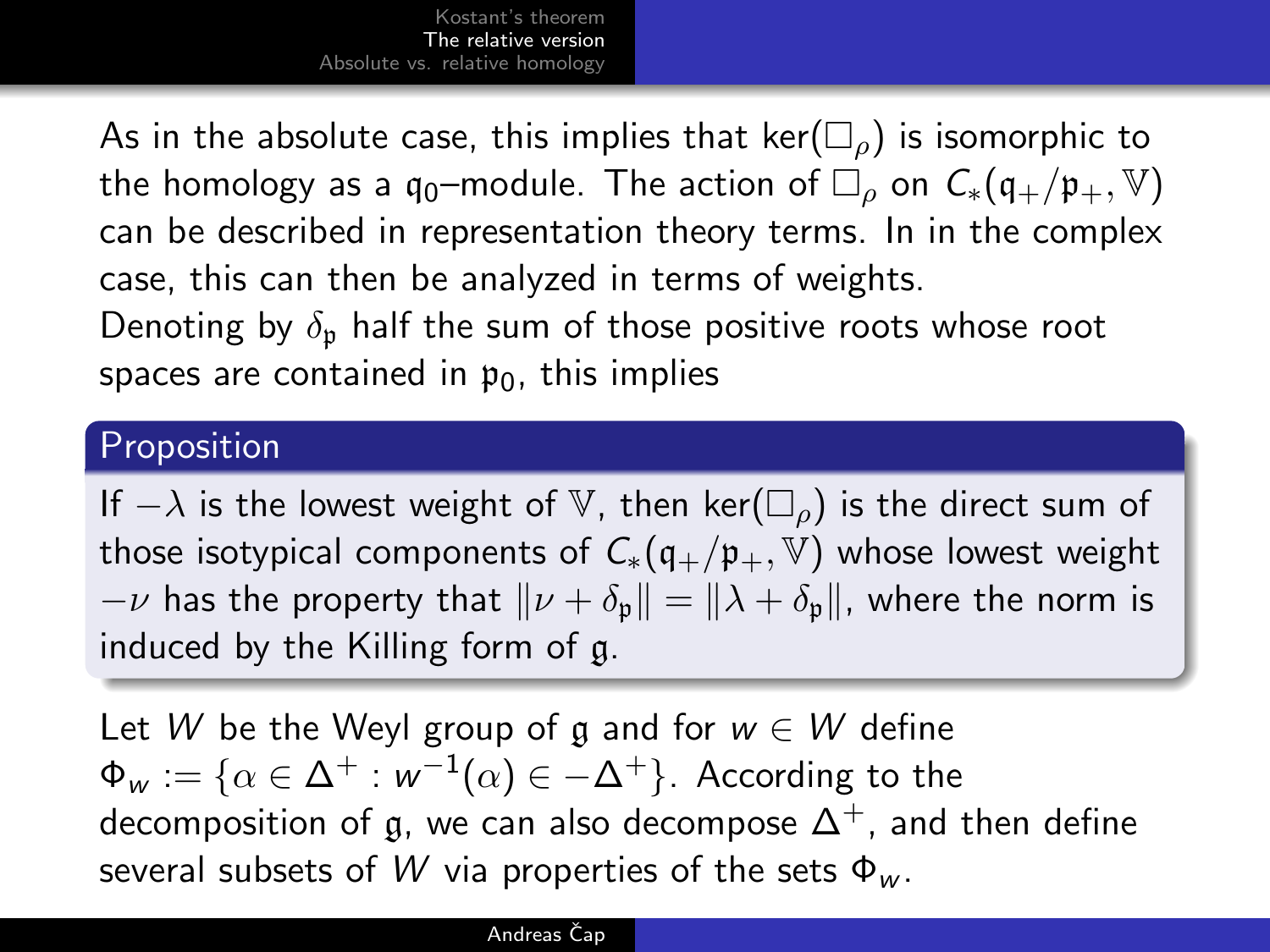As in the absolute case, this implies that ker( $\square$ ) is isomorphic to the homology as a q<sub>0</sub>–module. The action of  $\Box_{\rho}$  on  $C_*(\mathfrak{q}_+/ \mathfrak{p}_+, \mathbb{V})$ can be described in representation theory terms. In in the complex case, this can then be analyzed in terms of weights. Denoting by  $\delta_{p}$  half the sum of those positive roots whose root spaces are contained in  $p_0$ , this implies

### Proposition

If  $-\lambda$  is the lowest weight of V, then ker( $\square$ <sub>o</sub>) is the direct sum of those isotypical components of  $C_*(q_+/p_+, \mathbb{V})$  whose lowest weight  $-\nu$  has the property that  $\|\nu + \delta_{p}\| = \|\lambda + \delta_{p}\|$ , where the norm is induced by the Killing form of g.

Let W be the Weyl group of g and for  $w \in W$  define  $\mathsf \Phi_{\mathsf w} := \{\alpha \in \Delta^+ : {\mathsf w}^{-1}(\alpha) \in -\Delta^+ \}.$  According to the decomposition of g, we can also decompose  $\Delta^+$ , and then define several subsets of W via properties of the sets  $\Phi_{w}$ .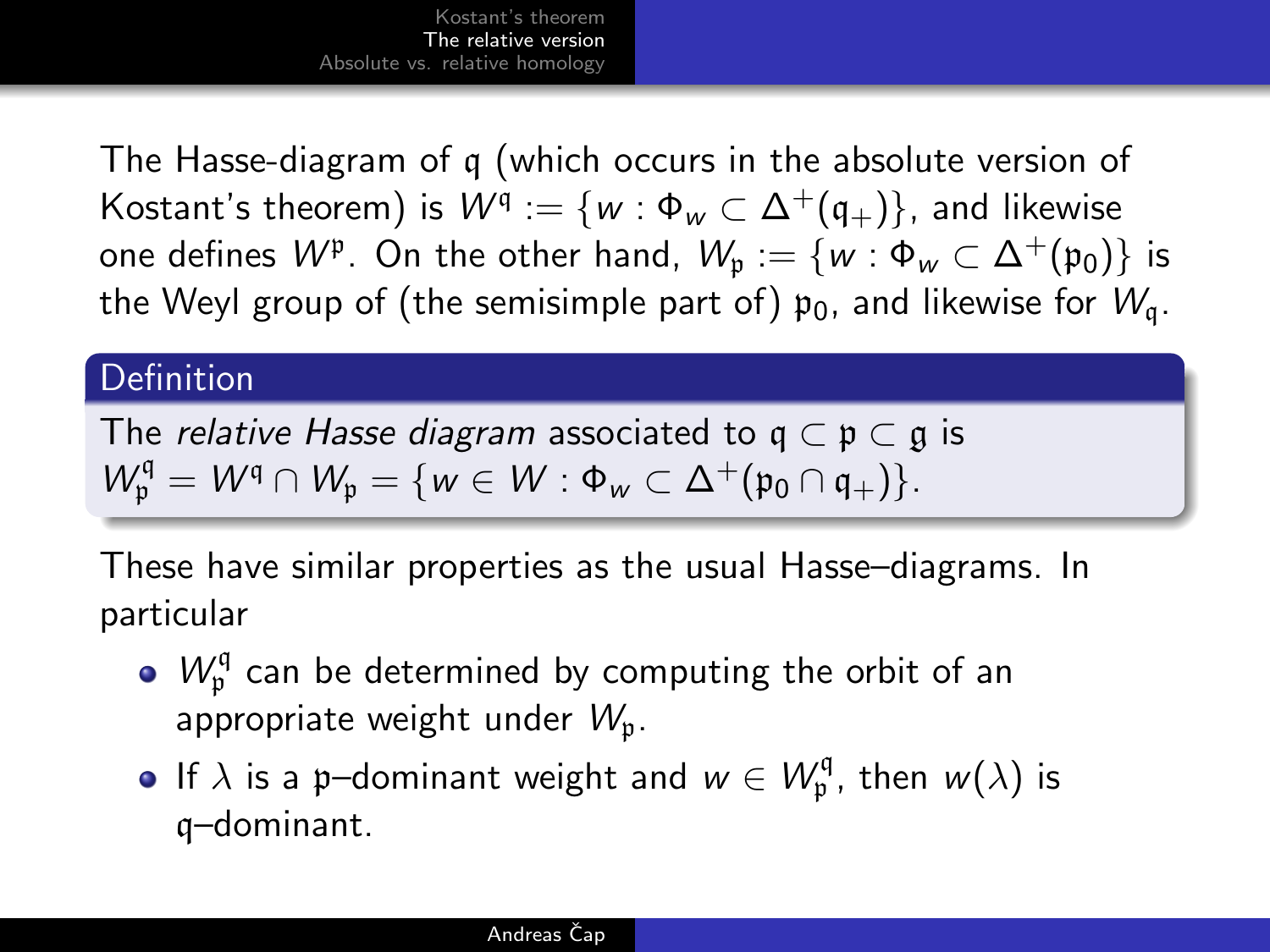The Hasse-diagram of q (which occurs in the absolute version of Kostant's theorem) is  $W^{\mathfrak{q}}:=\{w:\Phi_{w}\subset\Delta^{+}(\mathfrak{q}_{+})\},$  and likewise one defines  $W^{\mathfrak p}.$  On the other hand,  $\mathcal W_{\mathfrak p}:=\{w:\Phi_w\subset \Delta^+(\mathfrak p_0)\}$  is the Weyl group of (the semisimple part of)  $p_0$ , and likewise for  $W_a$ .

### **Definition**

The *relative Hasse diagram* associated to  $q \subset p \subset q$  is  $W_{\mathfrak{p}}^{\mathfrak{q}} = W^{\mathfrak{q}} \cap W_{\mathfrak{p}} = \{ w \in W : \Phi_w \subset \Delta^+(\mathfrak{p}_0 \cap \mathfrak{q}_+) \}.$ 

These have similar properties as the usual Hasse–diagrams. In particular

- $W_{\mathfrak{p}}^{\mathfrak{q}}$  can be determined by computing the orbit of an appropriate weight under  $W_n$ .
- If  $\lambda$  is a p–dominant weight and  $w \in W_{\mathfrak{p}}^{\mathfrak{q}}$ , then  $w(\lambda)$  is q–dominant.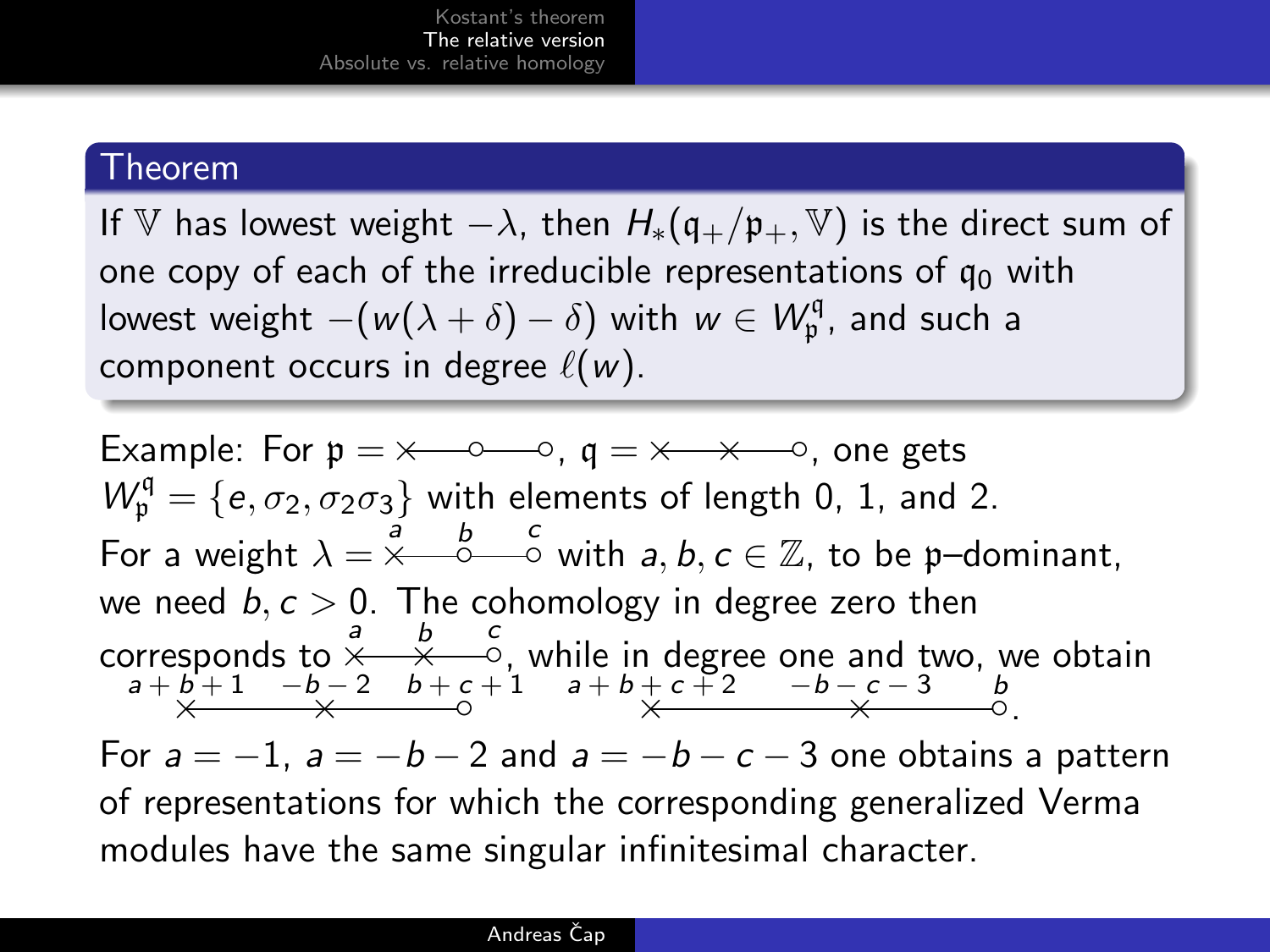### Theorem

If V has lowest weight  $-\lambda$ , then  $H_*(\mathfrak{q}_+/ \mathfrak{p}_+, \mathbb{V})$  is the direct sum of one copy of each of the irreducible representations of  $q_0$  with lowest weight  $-(w(\lambda + \delta) - \delta)$  with  $w \in W_{\mathfrak{p}}^{\mathfrak{q}}$ , and such a component occurs in degree  $\ell(w)$ .

Example: For  $p = \times -0$ ,  $q = \times -\times -0$ , one gets  $W_{\mathfrak{p}}^{\mathfrak{q}} = \{e, \sigma_2, \sigma_2\sigma_3\}$  with elements of length 0, 1, and 2. For a weight  $\lambda = \stackrel{\stackrel{\rightarrow}{a}}{\times} \stackrel{\stackrel{\rightarrow}{b}}{\xrightarrow{c}}$  with  $a, b, c \in \mathbb{Z}$ , to be p-dominant, we need  $b, c > 0$ . The cohomology in degree zero then corresponds to  $\stackrel{a}{\times} \stackrel{b}{\times} \stackrel{c}{\times}$ , while in degree one and two, we obtain  $a+b+1$   $-b-2$   $b+c+1$   $a+b+c+2$   $-b-c-3$   $b$ <br> $\times$   $\longrightarrow$  0. For  $a = -1$ ,  $a = -b - 2$  and  $a = -b - c - 3$  one obtains a pattern of representations for which the corresponding generalized Verma modules have the same singular infinitesimal character.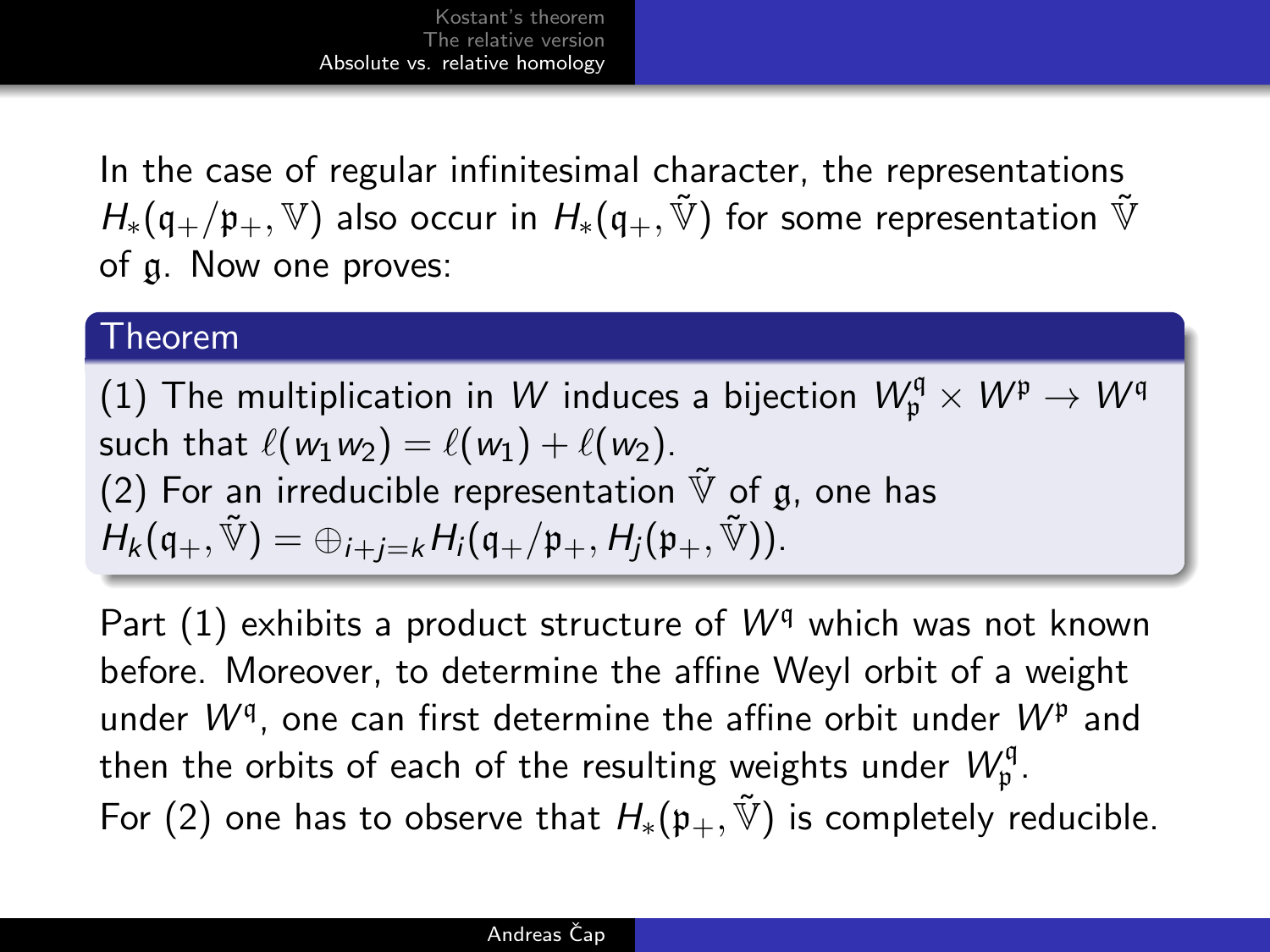In the case of regular infinitesimal character, the representations  $H_*(\mathfrak{g}_\perp/\mathfrak{p}_\perp,\mathbb{V})$  also occur in  $H_*(\mathfrak{g}_\perp,\tilde{\mathbb{V}})$  for some representation  $\tilde{\mathbb{V}}$ of g. Now one proves:

#### Theorem

(1) The multiplication in  $W$  induces a bijection  $W^\mathfrak{q}_\mathfrak{p} \times W^\mathfrak{p} \to W^\mathfrak{q}$ such that  $\ell(w_1w_2) = \ell(w_1) + \ell(w_2)$ . (2) For an irreducible representation  $\tilde{\mathbb{V}}$  of g, one has  $H_k(\mathfrak{q}_+,\tilde{\mathbb{V}})=\oplus_{i+i=k}H_i(\mathfrak{q}_+/ \mathfrak{p}_+,H_i(\mathfrak{p}_+,\tilde{\mathbb{V}})).$ 

<span id="page-13-0"></span>Part  $(1)$  exhibits a product structure of  $W<sup>q</sup>$  which was not known before. Moreover, to determine the affine Weyl orbit of a weight under  $W^{q}$ , one can first determine the affine orbit under  $W^{p}$  and then the orbits of each of the resulting weights under  $\mathcal{W}_{\mathfrak{p}}^{\mathfrak{q}}$  . For (2) one has to observe that  $H_*(p_+, \tilde{V})$  is completely reducible.